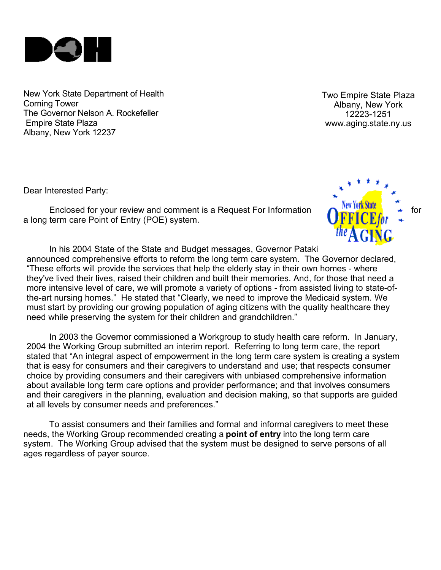

New York State Department of Health Corning Tower The Governor Nelson A. Rockefeller Empire State Plaza Albany, New York 12237

Two Empire State Plaza Albany, New York 12223-1251 www.aging.state.ny.us

Dear Interested Party:

Enclosed for your review and comment is a Request For Information a long term care Point of Entry (POE) system.



In his 2004 State of the State and Budget messages, Governor Pataki announced comprehensive efforts to reform the long term care system. The Governor declared, "These efforts will provide the services that help the elderly stay in their own homes - where they've lived their lives, raised their children and built their memories. And, for those that need a more intensive level of care, we will promote a variety of options - from assisted living to state-ofthe-art nursing homes." He stated that "Clearly, we need to improve the Medicaid system. We must start by providing our growing population of aging citizens with the quality healthcare they need while preserving the system for their children and grandchildren."

In 2003 the Governor commissioned a Workgroup to study health care reform. In January, 2004 the Working Group submitted an interim report. Referring to long term care, the report stated that "An integral aspect of empowerment in the long term care system is creating a system that is easy for consumers and their caregivers to understand and use; that respects consumer choice by providing consumers and their caregivers with unbiased comprehensive information about available long term care options and provider performance; and that involves consumers and their caregivers in the planning, evaluation and decision making, so that supports are guided at all levels by consumer needs and preferences."

To assist consumers and their families and formal and informal caregivers to meet these needs, the Working Group recommended creating a **point of entry** into the long term care system. The Working Group advised that the system must be designed to serve persons of all ages regardless of payer source.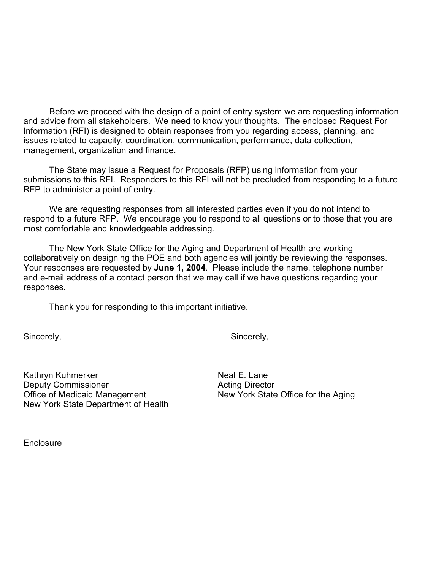Before we proceed with the design of a point of entry system we are requesting information and advice from all stakeholders. We need to know your thoughts. The enclosed Request For Information (RFI) is designed to obtain responses from you regarding access, planning, and issues related to capacity, coordination, communication, performance, data collection, management, organization and finance.

The State may issue a Request for Proposals (RFP) using information from your submissions to this RFI. Responders to this RFI will not be precluded from responding to a future RFP to administer a point of entry.

We are requesting responses from all interested parties even if you do not intend to respond to a future RFP. We encourage you to respond to all questions or to those that you are most comfortable and knowledgeable addressing.

The New York State Office for the Aging and Department of Health are working collaboratively on designing the POE and both agencies will jointly be reviewing the responses. Your responses are requested by **June 1, 2004**. Please include the name, telephone number and e-mail address of a contact person that we may call if we have questions regarding your responses.

Thank you for responding to this important initiative.

Sincerely, Sincerely, Sincerely, Sincerely, Sincerely, Sincerely, Sincerely, Sincerely, Sincerely, Sincerely, Sincerely, Sincerely, Sincerely, Sincerely, Sincerely, Sincerely, Sincerely, Sincerely, Sincerely, Sincerely, Si

Kathryn Kuhmerker Neal E. Lane Deputy Commissioner **Acting Director** Acting Director Office of Medicaid Management New York State Office for the Aging New York State Department of Health

**Enclosure**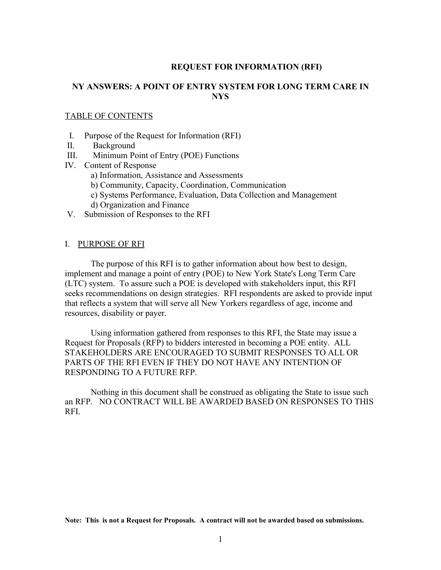#### **REQUEST FOR INFORMATION (RFI)**

#### **NY ANSWERS: A POINT OF ENTRY SYSTEM FOR LONG TERM CARE IN NYS**

#### TABLE OF CONTENTS

- I. Purpose of the Request for Information (RFI)
- II. Background
- III. Minimum Point of Entry (POE) Functions
- IV. Content of Response
	- a) Information, Assistance and Assessments
	- b) Community, Capacity, Coordination, Communication
	- c) Systems Performance, Evaluation, Data Collection and Management
	- d) Organization and Finance
- V. Submission of Responses to the RFI

#### I. PURPOSE OF RFI

The purpose of this RFI is to gather information about how best to design, implement and manage a point of entry (POE) to New York State's Long Term Care (LTC) system. To assure such a POE is developed with stakeholders input, this RFI seeks recommendations on design strategies. RFI respondents are asked to provide input that reflects a system that will serve all New Yorkers regardless of age, income and resources, disability or payer.

Using information gathered from responses to this RFI, the State may issue a Request for Proposals (RFP) to bidders interested in becoming a POE entity. ALL STAKEHOLDERS ARE ENCOURAGED TO SUBMIT RESPONSES TO ALL OR PARTS OF THE RFI EVEN IF THEY DO NOT HAVE ANY INTENTION OF RESPONDING TO A FUTURE RFP.

Nothing in this document shall be construed as obligating the State to issue such an RFP. NO CONTRACT WILL BE AWARDED BASED ON RESPONSES TO THIS RFI.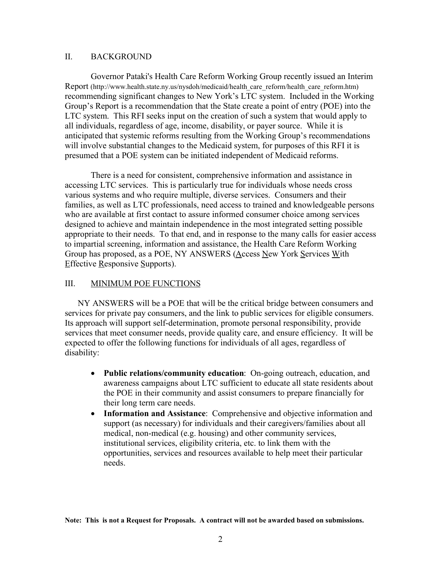#### II. BACKGROUND

Governor Pataki's Health Care Reform Working Group recently issued an Interim Report (http://www.health.state.ny.us/nysdoh/medicaid/health care reform/health care reform.htm) recommending significant changes to New York's LTC system. Included in the Working Group's Report is a recommendation that the State create a point of entry (POE) into the LTC system. This RFI seeks input on the creation of such a system that would apply to all individuals, regardless of age, income, disability, or payer source. While it is anticipated that systemic reforms resulting from the Working Group's recommendations will involve substantial changes to the Medicaid system, for purposes of this RFI it is presumed that a POE system can be initiated independent of Medicaid reforms.

There is a need for consistent, comprehensive information and assistance in accessing LTC services. This is particularly true for individuals whose needs cross various systems and who require multiple, diverse services. Consumers and their families, as well as LTC professionals, need access to trained and knowledgeable persons who are available at first contact to assure informed consumer choice among services designed to achieve and maintain independence in the most integrated setting possible appropriate to their needs. To that end, and in response to the many calls for easier access to impartial screening, information and assistance, the Health Care Reform Working Group has proposed, as a POE, NY ANSWERS (Access New York Services With Effective Responsive Supports).

#### III. MINIMUM POE FUNCTIONS

NY ANSWERS will be a POE that will be the critical bridge between consumers and services for private pay consumers, and the link to public services for eligible consumers. Its approach will support self-determination, promote personal responsibility, provide services that meet consumer needs, provide quality care, and ensure efficiency. It will be expected to offer the following functions for individuals of all ages, regardless of disability:

- **Public relations/community education**: On-going outreach, education, and awareness campaigns about LTC sufficient to educate all state residents about the POE in their community and assist consumers to prepare financially for their long term care needs.
- **Information and Assistance**: Comprehensive and objective information and support (as necessary) for individuals and their caregivers/families about all medical, non-medical (e.g. housing) and other community services, institutional services, eligibility criteria, etc. to link them with the opportunities, services and resources available to help meet their particular needs.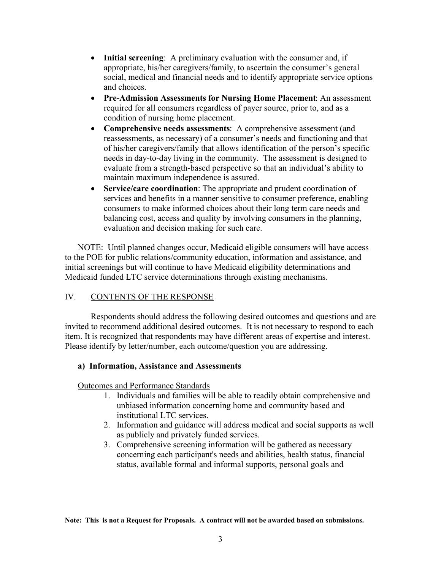- **Initial screening**: A preliminary evaluation with the consumer and, if appropriate, his/her caregivers/family, to ascertain the consumer's general social, medical and financial needs and to identify appropriate service options and choices.
- **Pre-Admission Assessments for Nursing Home Placement**: An assessment required for all consumers regardless of payer source, prior to, and as a condition of nursing home placement.
- **Comprehensive needs assessments**: A comprehensive assessment (and reassessments, as necessary) of a consumer's needs and functioning and that of his/her caregivers/family that allows identification of the person's specific needs in day-to-day living in the community. The assessment is designed to evaluate from a strength-based perspective so that an individual's ability to maintain maximum independence is assured.
- **Service/care coordination**: The appropriate and prudent coordination of services and benefits in a manner sensitive to consumer preference, enabling consumers to make informed choices about their long term care needs and balancing cost, access and quality by involving consumers in the planning, evaluation and decision making for such care.

NOTE: Until planned changes occur, Medicaid eligible consumers will have access to the POE for public relations/community education, information and assistance, and initial screenings but will continue to have Medicaid eligibility determinations and Medicaid funded LTC service determinations through existing mechanisms.

#### IV. CONTENTS OF THE RESPONSE

Respondents should address the following desired outcomes and questions and are invited to recommend additional desired outcomes. It is not necessary to respond to each item. It is recognized that respondents may have different areas of expertise and interest. Please identify by letter/number, each outcome/question you are addressing.

#### **a) Information, Assistance and Assessments**

Outcomes and Performance Standards

- 1. Individuals and families will be able to readily obtain comprehensive and unbiased information concerning home and community based and institutional LTC services.
- 2. Information and guidance will address medical and social supports as well as publicly and privately funded services.
- 3. Comprehensive screening information will be gathered as necessary concerning each participant's needs and abilities, health status, financial status, available formal and informal supports, personal goals and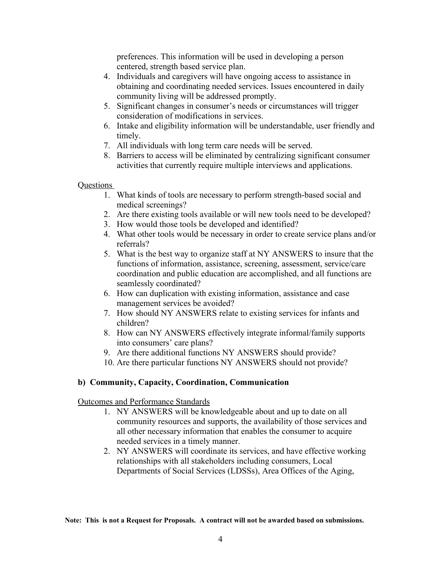preferences. This information will be used in developing a person centered, strength based service plan.

- 4. Individuals and caregivers will have ongoing access to assistance in obtaining and coordinating needed services. Issues encountered in daily community living will be addressed promptly.
- 5. Significant changes in consumer's needs or circumstances will trigger consideration of modifications in services.
- 6. Intake and eligibility information will be understandable, user friendly and timely.
- 7. All individuals with long term care needs will be served.
- 8. Barriers to access will be eliminated by centralizing significant consumer activities that currently require multiple interviews and applications.

#### Questions

- 1. What kinds of tools are necessary to perform strength-based social and medical screenings?
- 2. Are there existing tools available or will new tools need to be developed?
- 3. How would those tools be developed and identified?
- 4. What other tools would be necessary in order to create service plans and/or referrals?
- 5. What is the best way to organize staff at NY ANSWERS to insure that the functions of information, assistance, screening, assessment, service/care coordination and public education are accomplished, and all functions are seamlessly coordinated?
- 6. How can duplication with existing information, assistance and case management services be avoided?
- 7. How should NY ANSWERS relate to existing services for infants and children?
- 8. How can NY ANSWERS effectively integrate informal/family supports into consumers' care plans?
- 9. Are there additional functions NY ANSWERS should provide?
- 10. Are there particular functions NY ANSWERS should not provide?

# **b) Community, Capacity, Coordination, Communication**

# Outcomes and Performance Standards

- 1. NY ANSWERS will be knowledgeable about and up to date on all community resources and supports, the availability of those services and all other necessary information that enables the consumer to acquire needed services in a timely manner.
- 2. NY ANSWERS will coordinate its services, and have effective working relationships with all stakeholders including consumers, Local Departments of Social Services (LDSSs), Area Offices of the Aging,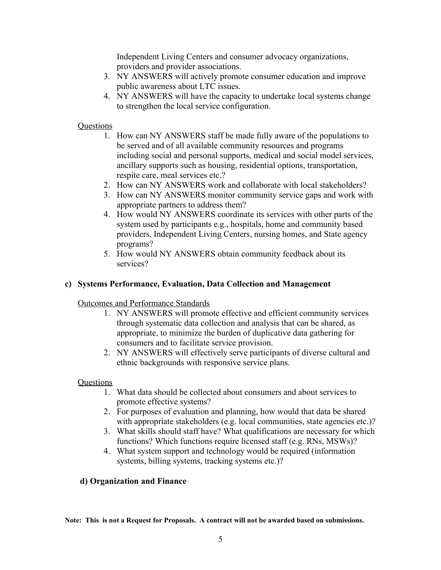Independent Living Centers and consumer advocacy organizations, providers and provider associations.

- 3. NY ANSWERS will actively promote consumer education and improve public awareness about LTC issues.
- 4. NY ANSWERS will have the capacity to undertake local systems change to strengthen the local service configuration.

# **Questions**

- 1. How can NY ANSWERS staff be made fully aware of the populations to be served and of all available community resources and programs including social and personal supports, medical and social model services, ancillary supports such as housing, residential options, transportation, respite care, meal services etc.?
- 2. How can NY ANSWERS work and collaborate with local stakeholders?
- 3. How can NY ANSWERS monitor community service gaps and work with appropriate partners to address them?
- 4. How would NY ANSWERS coordinate its services with other parts of the system used by participants e.g., hospitals, home and community based providers, Independent Living Centers, nursing homes, and State agency programs?
- 5. How would NY ANSWERS obtain community feedback about its services?

# **c) Systems Performance, Evaluation, Data Collection and Management**

Outcomes and Performance Standards

- 1. NY ANSWERS will promote effective and efficient community services through systematic data collection and analysis that can be shared, as appropriate, to minimize the burden of duplicative data gathering for consumers and to facilitate service provision.
- 2. NY ANSWERS will effectively serve participants of diverse cultural and ethnic backgrounds with responsive service plans.

# Questions

- 1. What data should be collected about consumers and about services to promote effective systems?
- 2. For purposes of evaluation and planning, how would that data be shared with appropriate stakeholders (e.g. local communities, state agencies etc.)?
- 3. What skills should staff have? What qualifications are necessary for which functions? Which functions require licensed staff (e.g. RNs, MSWs)?
- 4. What system support and technology would be required (information systems, billing systems, tracking systems etc.)?

# **d) Organization and Finance**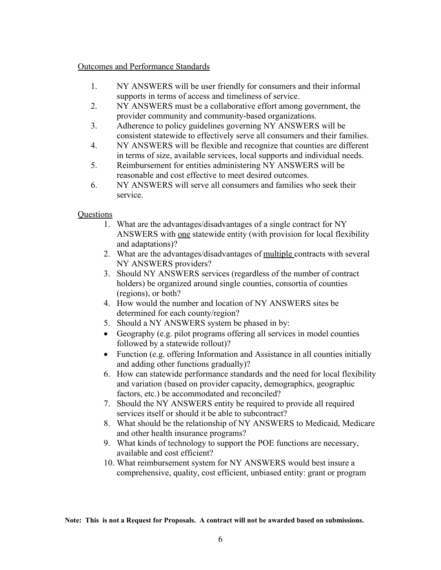#### Outcomes and Performance Standards

- 1. NY ANSWERS will be user friendly for consumers and their informal supports in terms of access and timeliness of service.
- 2. NY ANSWERS must be a collaborative effort among government, the provider community and community-based organizations.
- 3. Adherence to policy guidelines governing NY ANSWERS will be consistent statewide to effectively serve all consumers and their families.
- 4. NY ANSWERS will be flexible and recognize that counties are different in terms of size, available services, local supports and individual needs.
- 5. Reimbursement for entities administering NY ANSWERS will be reasonable and cost effective to meet desired outcomes.
- 6. NY ANSWERS will serve all consumers and families who seek their service.

# **Questions**

- 1. What are the advantages/disadvantages of a single contract for NY ANSWERS with one statewide entity (with provision for local flexibility and adaptations)?
- 2. What are the advantages/disadvantages of multiple contracts with several NY ANSWERS providers?
- 3. Should NY ANSWERS services (regardless of the number of contract holders) be organized around single counties, consortia of counties (regions), or both?
- 4. How would the number and location of NY ANSWERS sites be determined for each county/region?
- 5. Should a NY ANSWERS system be phased in by:
- Geography (e.g. pilot programs offering all services in model counties followed by a statewide rollout)?
- Function (e.g. offering Information and Assistance in all counties initially and adding other functions gradually)?
- 6. How can statewide performance standards and the need for local flexibility and variation (based on provider capacity, demographics, geographic factors, etc.) be accommodated and reconciled?
- 7. Should the NY ANSWERS entity be required to provide all required services itself or should it be able to subcontract?
- 8. What should be the relationship of NY ANSWERS to Medicaid, Medicare and other health insurance programs?
- 9. What kinds of technology to support the POE functions are necessary, available and cost efficient?
- 10. What reimbursement system for NY ANSWERS would best insure a comprehensive, quality, cost efficient, unbiased entity: grant or program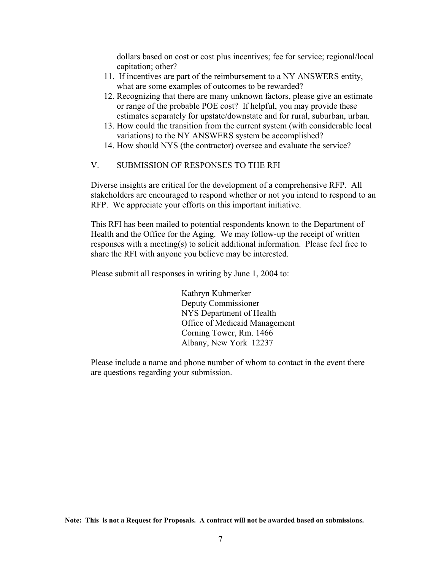dollars based on cost or cost plus incentives; fee for service; regional/local capitation; other?

- 11. If incentives are part of the reimbursement to a NY ANSWERS entity, what are some examples of outcomes to be rewarded?
- 12. Recognizing that there are many unknown factors, please give an estimate or range of the probable POE cost? If helpful, you may provide these estimates separately for upstate/downstate and for rural, suburban, urban.
- 13. How could the transition from the current system (with considerable local variations) to the NY ANSWERS system be accomplished?
- 14. How should NYS (the contractor) oversee and evaluate the service?

#### V. SUBMISSION OF RESPONSES TO THE RFI

Diverse insights are critical for the development of a comprehensive RFP. All stakeholders are encouraged to respond whether or not you intend to respond to an RFP. We appreciate your efforts on this important initiative.

This RFI has been mailed to potential respondents known to the Department of Health and the Office for the Aging. We may follow-up the receipt of written responses with a meeting(s) to solicit additional information. Please feel free to share the RFI with anyone you believe may be interested.

Please submit all responses in writing by June 1, 2004 to:

Kathryn Kuhmerker Deputy Commissioner NYS Department of Health Office of Medicaid Management Corning Tower, Rm. 1466 Albany, New York 12237

Please include a name and phone number of whom to contact in the event there are questions regarding your submission.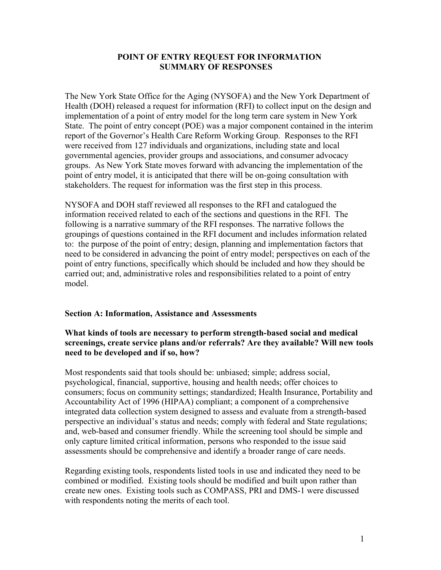#### **POINT OF ENTRY REQUEST FOR INFORMATION SUMMARY OF RESPONSES**

The New York State Office for the Aging (NYSOFA) and the New York Department of Health (DOH) released a request for information (RFI) to collect input on the design and implementation of a point of entry model for the long term care system in New York State. The point of entry concept (POE) was a major component contained in the interim report of the Governor's Health Care Reform Working Group. Responses to the RFI were received from 127 individuals and organizations, including state and local governmental agencies, provider groups and associations, and consumer advocacy groups. As New York State moves forward with advancing the implementation of the point of entry model, it is anticipated that there will be on-going consultation with stakeholders. The request for information was the first step in this process.

NYSOFA and DOH staff reviewed all responses to the RFI and catalogued the information received related to each of the sections and questions in the RFI. The following is a narrative summary of the RFI responses. The narrative follows the groupings of questions contained in the RFI document and includes information related to: the purpose of the point of entry; design, planning and implementation factors that need to be considered in advancing the point of entry model; perspectives on each of the point of entry functions, specifically which should be included and how they should be carried out; and, administrative roles and responsibilities related to a point of entry model.

#### **Section A: Information, Assistance and Assessments**

### **What kinds of tools are necessary to perform strength-based social and medical screenings, create service plans and/or referrals? Are they available? Will new tools need to be developed and if so, how?**

Most respondents said that tools should be: unbiased; simple; address social, psychological, financial, supportive, housing and health needs; offer choices to consumers; focus on community settings; standardized; Health Insurance, Portability and Accountability Act of 1996 (HIPAA) compliant; a component of a comprehensive integrated data collection system designed to assess and evaluate from a strength-based perspective an individual's status and needs; comply with federal and State regulations; and, web-based and consumer friendly. While the screening tool should be simple and only capture limited critical information, persons who responded to the issue said assessments should be comprehensive and identify a broader range of care needs.

Regarding existing tools, respondents listed tools in use and indicated they need to be combined or modified. Existing tools should be modified and built upon rather than create new ones. Existing tools such as COMPASS, PRI and DMS-1 were discussed with respondents noting the merits of each tool.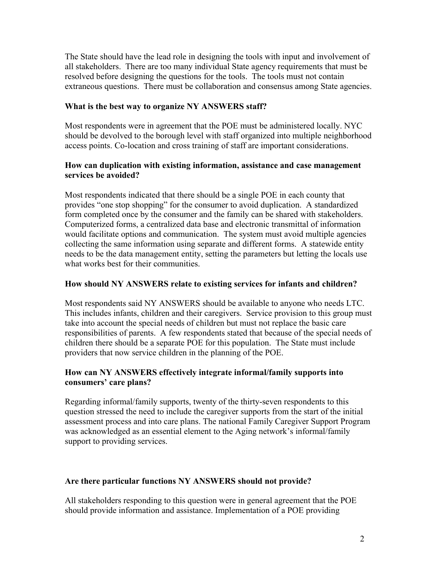The State should have the lead role in designing the tools with input and involvement of all stakeholders. There are too many individual State agency requirements that must be resolved before designing the questions for the tools. The tools must not contain extraneous questions. There must be collaboration and consensus among State agencies.

### **What is the best way to organize NY ANSWERS staff?**

Most respondents were in agreement that the POE must be administered locally. NYC should be devolved to the borough level with staff organized into multiple neighborhood access points. Co-location and cross training of staff are important considerations.

#### **How can duplication with existing information, assistance and case management services be avoided?**

Most respondents indicated that there should be a single POE in each county that provides "one stop shopping" for the consumer to avoid duplication. A standardized form completed once by the consumer and the family can be shared with stakeholders. Computerized forms, a centralized data base and electronic transmittal of information would facilitate options and communication. The system must avoid multiple agencies collecting the same information using separate and different forms. A statewide entity needs to be the data management entity, setting the parameters but letting the locals use what works best for their communities.

### **How should NY ANSWERS relate to existing services for infants and children?**

Most respondents said NY ANSWERS should be available to anyone who needs LTC. This includes infants, children and their caregivers. Service provision to this group must take into account the special needs of children but must not replace the basic care responsibilities of parents. A few respondents stated that because of the special needs of children there should be a separate POE for this population. The State must include providers that now service children in the planning of the POE.

#### **How can NY ANSWERS effectively integrate informal/family supports into consumers' care plans?**

Regarding informal/family supports, twenty of the thirty-seven respondents to this question stressed the need to include the caregiver supports from the start of the initial assessment process and into care plans. The national Family Caregiver Support Program was acknowledged as an essential element to the Aging network's informal/family support to providing services.

# **Are there particular functions NY ANSWERS should not provide?**

All stakeholders responding to this question were in general agreement that the POE should provide information and assistance. Implementation of a POE providing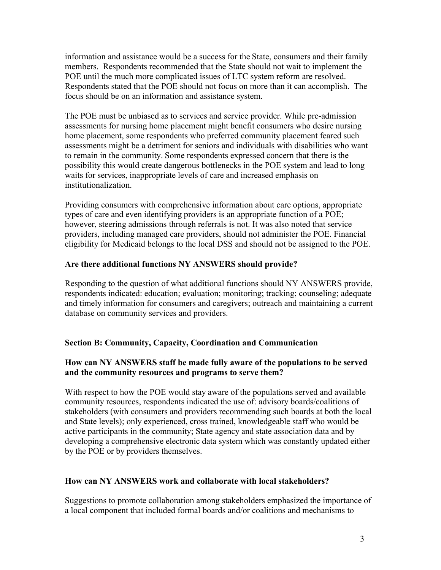information and assistance would be a success for the State, consumers and their family members. Respondents recommended that the State should not wait to implement the POE until the much more complicated issues of LTC system reform are resolved. Respondents stated that the POE should not focus on more than it can accomplish. The focus should be on an information and assistance system.

The POE must be unbiased as to services and service provider. While pre-admission assessments for nursing home placement might benefit consumers who desire nursing home placement, some respondents who preferred community placement feared such assessments might be a detriment for seniors and individuals with disabilities who want to remain in the community. Some respondents expressed concern that there is the possibility this would create dangerous bottlenecks in the POE system and lead to long waits for services, inappropriate levels of care and increased emphasis on institutionalization.

Providing consumers with comprehensive information about care options, appropriate types of care and even identifying providers is an appropriate function of a POE; however, steering admissions through referrals is not. It was also noted that service providers, including managed care providers, should not administer the POE. Financial eligibility for Medicaid belongs to the local DSS and should not be assigned to the POE.

# **Are there additional functions NY ANSWERS should provide?**

Responding to the question of what additional functions should NY ANSWERS provide, respondents indicated: education; evaluation; monitoring; tracking; counseling; adequate and timely information for consumers and caregivers; outreach and maintaining a current database on community services and providers.

# **Section B: Community, Capacity, Coordination and Communication**

# **How can NY ANSWERS staff be made fully aware of the populations to be served and the community resources and programs to serve them?**

With respect to how the POE would stay aware of the populations served and available community resources, respondents indicated the use of: advisory boards/coalitions of stakeholders (with consumers and providers recommending such boards at both the local and State levels); only experienced, cross trained, knowledgeable staff who would be active participants in the community; State agency and state association data and by developing a comprehensive electronic data system which was constantly updated either by the POE or by providers themselves.

#### **How can NY ANSWERS work and collaborate with local stakeholders?**

Suggestions to promote collaboration among stakeholders emphasized the importance of a local component that included formal boards and/or coalitions and mechanisms to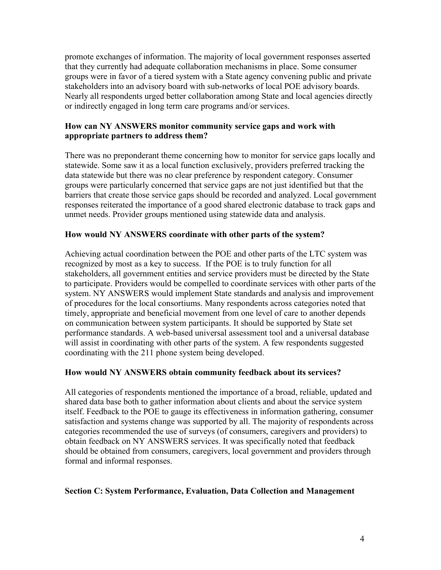promote exchanges of information. The majority of local government responses asserted that they currently had adequate collaboration mechanisms in place. Some consumer groups were in favor of a tiered system with a State agency convening public and private stakeholders into an advisory board with sub-networks of local POE advisory boards. Nearly all respondents urged better collaboration among State and local agencies directly or indirectly engaged in long term care programs and/or services.

# **How can NY ANSWERS monitor community service gaps and work with appropriate partners to address them?**

There was no preponderant theme concerning how to monitor for service gaps locally and statewide. Some saw it as a local function exclusively, providers preferred tracking the data statewide but there was no clear preference by respondent category. Consumer groups were particularly concerned that service gaps are not just identified but that the barriers that create those service gaps should be recorded and analyzed. Local government responses reiterated the importance of a good shared electronic database to track gaps and unmet needs. Provider groups mentioned using statewide data and analysis.

# **How would NY ANSWERS coordinate with other parts of the system?**

Achieving actual coordination between the POE and other parts of the LTC system was recognized by most as a key to success. If the POE is to truly function for all stakeholders, all government entities and service providers must be directed by the State to participate. Providers would be compelled to coordinate services with other parts of the system. NY ANSWERS would implement State standards and analysis and improvement of procedures for the local consortiums. Many respondents across categories noted that timely, appropriate and beneficial movement from one level of care to another depends on communication between system participants. It should be supported by State set performance standards. A web-based universal assessment tool and a universal database will assist in coordinating with other parts of the system. A few respondents suggested coordinating with the 211 phone system being developed.

# **How would NY ANSWERS obtain community feedback about its services?**

All categories of respondents mentioned the importance of a broad, reliable, updated and shared data base both to gather information about clients and about the service system itself. Feedback to the POE to gauge its effectiveness in information gathering, consumer satisfaction and systems change was supported by all. The majority of respondents across categories recommended the use of surveys (of consumers, caregivers and providers) to obtain feedback on NY ANSWERS services. It was specifically noted that feedback should be obtained from consumers, caregivers, local government and providers through formal and informal responses.

# **Section C: System Performance, Evaluation, Data Collection and Management**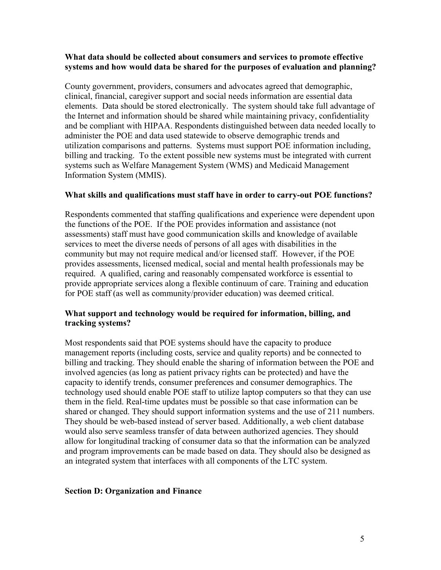#### **What data should be collected about consumers and services to promote effective systems and how would data be shared for the purposes of evaluation and planning?**

County government, providers, consumers and advocates agreed that demographic, clinical, financial, caregiver support and social needs information are essential data elements. Data should be stored electronically. The system should take full advantage of the Internet and information should be shared while maintaining privacy, confidentiality and be compliant with HIPAA. Respondents distinguished between data needed locally to administer the POE and data used statewide to observe demographic trends and utilization comparisons and patterns. Systems must support POE information including, billing and tracking. To the extent possible new systems must be integrated with current systems such as Welfare Management System (WMS) and Medicaid Management Information System (MMIS).

#### **What skills and qualifications must staff have in order to carry-out POE functions?**

Respondents commented that staffing qualifications and experience were dependent upon the functions of the POE. If the POE provides information and assistance (not assessments) staff must have good communication skills and knowledge of available services to meet the diverse needs of persons of all ages with disabilities in the community but may not require medical and/or licensed staff. However, if the POE provides assessments, licensed medical, social and mental health professionals may be required. A qualified, caring and reasonably compensated workforce is essential to provide appropriate services along a flexible continuum of care. Training and education for POE staff (as well as community/provider education) was deemed critical.

#### **What support and technology would be required for information, billing, and tracking systems?**

Most respondents said that POE systems should have the capacity to produce management reports (including costs, service and quality reports) and be connected to billing and tracking. They should enable the sharing of information between the POE and involved agencies (as long as patient privacy rights can be protected) and have the capacity to identify trends, consumer preferences and consumer demographics. The technology used should enable POE staff to utilize laptop computers so that they can use them in the field. Real-time updates must be possible so that case information can be shared or changed. They should support information systems and the use of 211 numbers. They should be web-based instead of server based. Additionally, a web client database would also serve seamless transfer of data between authorized agencies. They should allow for longitudinal tracking of consumer data so that the information can be analyzed and program improvements can be made based on data. They should also be designed as an integrated system that interfaces with all components of the LTC system.

#### **Section D: Organization and Finance**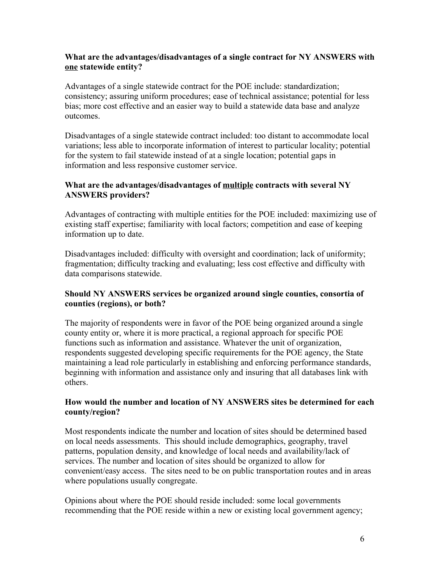### **What are the advantages/disadvantages of a single contract for NY ANSWERS with one statewide entity?**

Advantages of a single statewide contract for the POE include: standardization; consistency; assuring uniform procedures; ease of technical assistance; potential for less bias; more cost effective and an easier way to build a statewide data base and analyze outcomes.

Disadvantages of a single statewide contract included: too distant to accommodate local variations; less able to incorporate information of interest to particular locality; potential for the system to fail statewide instead of at a single location; potential gaps in information and less responsive customer service.

# **What are the advantages/disadvantages of multiple contracts with several NY ANSWERS providers?**

Advantages of contracting with multiple entities for the POE included: maximizing use of existing staff expertise; familiarity with local factors; competition and ease of keeping information up to date.

Disadvantages included: difficulty with oversight and coordination; lack of uniformity; fragmentation; difficulty tracking and evaluating; less cost effective and difficulty with data comparisons statewide.

#### **Should NY ANSWERS services be organized around single counties, consortia of counties (regions), or both?**

The majority of respondents were in favor of the POE being organized around a single county entity or, where it is more practical, a regional approach for specific POE functions such as information and assistance. Whatever the unit of organization, respondents suggested developing specific requirements for the POE agency, the State maintaining a lead role particularly in establishing and enforcing performance standards, beginning with information and assistance only and insuring that all databases link with others.

# **How would the number and location of NY ANSWERS sites be determined for each county/region?**

Most respondents indicate the number and location of sites should be determined based on local needs assessments. This should include demographics, geography, travel patterns, population density, and knowledge of local needs and availability/lack of services. The number and location of sites should be organized to allow for convenient/easy access. The sites need to be on public transportation routes and in areas where populations usually congregate.

Opinions about where the POE should reside included: some local governments recommending that the POE reside within a new or existing local government agency;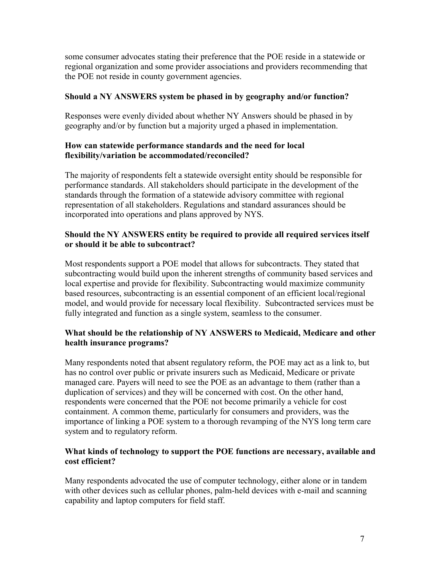some consumer advocates stating their preference that the POE reside in a statewide or regional organization and some provider associations and providers recommending that the POE not reside in county government agencies.

# **Should a NY ANSWERS system be phased in by geography and/or function?**

Responses were evenly divided about whether NY Answers should be phased in by geography and/or by function but a majority urged a phased in implementation.

# **How can statewide performance standards and the need for local flexibility/variation be accommodated/reconciled?**

The majority of respondents felt a statewide oversight entity should be responsible for performance standards. All stakeholders should participate in the development of the standards through the formation of a statewide advisory committee with regional representation of all stakeholders. Regulations and standard assurances should be incorporated into operations and plans approved by NYS.

# **Should the NY ANSWERS entity be required to provide all required services itself or should it be able to subcontract?**

Most respondents support a POE model that allows for subcontracts. They stated that subcontracting would build upon the inherent strengths of community based services and local expertise and provide for flexibility. Subcontracting would maximize community based resources, subcontracting is an essential component of an efficient local/regional model, and would provide for necessary local flexibility. Subcontracted services must be fully integrated and function as a single system, seamless to the consumer.

# **What should be the relationship of NY ANSWERS to Medicaid, Medicare and other health insurance programs?**

Many respondents noted that absent regulatory reform, the POE may act as a link to, but has no control over public or private insurers such as Medicaid, Medicare or private managed care. Payers will need to see the POE as an advantage to them (rather than a duplication of services) and they will be concerned with cost. On the other hand, respondents were concerned that the POE not become primarily a vehicle for cost containment. A common theme, particularly for consumers and providers, was the importance of linking a POE system to a thorough revamping of the NYS long term care system and to regulatory reform.

# **What kinds of technology to support the POE functions are necessary, available and cost efficient?**

Many respondents advocated the use of computer technology, either alone or in tandem with other devices such as cellular phones, palm-held devices with e-mail and scanning capability and laptop computers for field staff.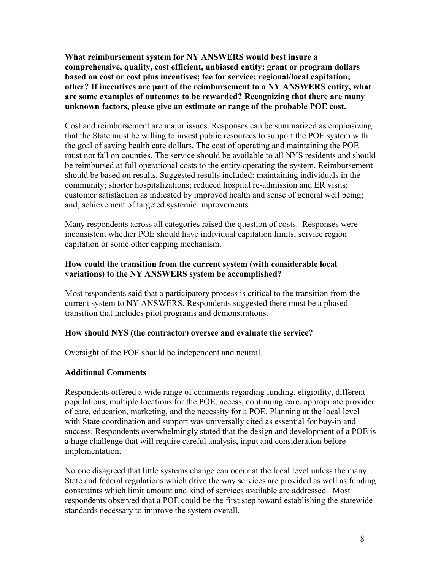**What reimbursement system for NY ANSWERS would best insure a comprehensive, quality, cost efficient, unbiased entity: grant or program dollars based on cost or cost plus incentives; fee for service; regional/local capitation; other? If incentives are part of the reimbursement to a NY ANSWERS entity, what are some examples of outcomes to be rewarded? Recognizing that there are many unknown factors, please give an estimate or range of the probable POE cost.** 

Cost and reimbursement are major issues. Responses can be summarized as emphasizing that the State must be willing to invest public resources to support the POE system with the goal of saving health care dollars. The cost of operating and maintaining the POE must not fall on counties. The service should be available to all NYS residents and should be reimbursed at full operational costs to the entity operating the system. Reimbursement should be based on results. Suggested results included: maintaining individuals in the community; shorter hospitalizations; reduced hospital re-admission and ER visits; customer satisfaction as indicated by improved health and sense of general well being; and, achievement of targeted systemic improvements.

Many respondents across all categories raised the question of costs. Responses were inconsistent whether POE should have individual capitation limits, service region capitation or some other capping mechanism.

### **How could the transition from the current system (with considerable local variations) to the NY ANSWERS system be accomplished?**

Most respondents said that a participatory process is critical to the transition from the current system to NY ANSWERS. Respondents suggested there must be a phased transition that includes pilot programs and demonstrations.

#### **How should NYS (the contractor) oversee and evaluate the service?**

Oversight of the POE should be independent and neutral.

#### **Additional Comments**

Respondents offered a wide range of comments regarding funding, eligibility, different populations, multiple locations for the POE, access, continuing care, appropriate provider of care, education, marketing, and the necessity for a POE. Planning at the local level with State coordination and support was universally cited as essential for buy-in and success. Respondents overwhelmingly stated that the design and development of a POE is a huge challenge that will require careful analysis, input and consideration before implementation.

No one disagreed that little systems change can occur at the local level unless the many State and federal regulations which drive the way services are provided as well as funding constraints which limit amount and kind of services available are addressed. Most respondents observed that a POE could be the first step toward establishing the statewide standards necessary to improve the system overall.